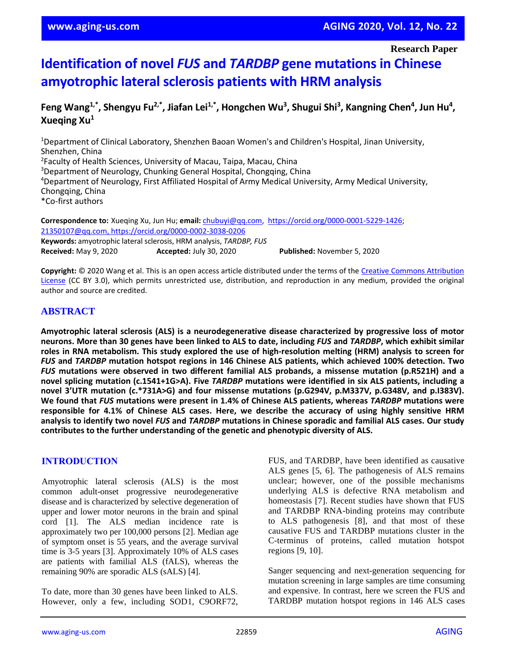**Research Paper**

# **Identification of novel** *FUS* **and** *TARDBP* **gene mutations in Chinese amyotrophic lateral sclerosis patients with HRM analysis**

## Feng Wang<sup>1,\*</sup>, Shengyu Fu<sup>2,\*</sup>, Jiafan Lei<sup>1,\*</sup>, Hongchen Wu<sup>3</sup>, Shugui Shi<sup>3</sup>, Kangning Chen<sup>4</sup>, Jun Hu<sup>4</sup>, **Xueqing Xu<sup>1</sup>**

<sup>1</sup>Department of Clinical Laboratory, Shenzhen Baoan Women's and Children's Hospital, Jinan University, Shenzhen, China 2 Faculty of Health Sciences, University of Macau, Taipa, Macau, China <sup>3</sup>Department of Neurology, Chunking General Hospital, Chongqing, China <sup>4</sup>Department of Neurology, First Affiliated Hospital of Army Medical University, Army Medical University, Chongqing, China \*Co-first authors

**Correspondence to:** Xueqing Xu, Jun Hu; **email:** [chubuyi@qq.com,](mailto:chubuyi@qq.com) [https://orcid.org/0000-0001-5229-1426;](https://orcid.org/0000-0001-5229-1426) [21350107@qq.com,](mailto:21350107@qq.com)<https://orcid.org/0000-0002-3038-0206> **Keywords:** amyotrophic lateral sclerosis, HRM analysis, *TARDBP, FUS* **Received:** May 9, 2020 **Accepted:** July 30, 2020 **Published:** November 5, 2020

**Copyright:** © 2020 Wang et al. This is an open access article distributed under the terms of the [Creative Commons Attribution](https://creativecommons.org/licenses/by/3.0/)  [License](https://creativecommons.org/licenses/by/3.0/) (CC BY 3.0), which permits unrestricted use, distribution, and reproduction in any medium, provided the original author and source are credited.

## **ABSTRACT**

**Amyotrophic lateral sclerosis (ALS) is a neurodegenerative disease characterized by progressive loss of motor** neurons. More than 30 genes have been linked to ALS to date, including FUS and TARDBP, which exhibit similar roles in RNA metabolism. This study explored the use of high-resolution melting (HRM) analysis to screen for *FUS* **and** *TARDBP* **mutation hotspot regions in 146 Chinese ALS patients, which achieved 100% detection. Two** *FUS* **mutations were observed in two different familial ALS probands, a missense mutation (p.R521H) and a novel splicing mutation (c.1541+1G>A). Five** *TARDBP* **mutations were identified in six ALS patients, including a novel 3'UTR mutation (c.\*731A>G) and four missense mutations (p.G294V, p.M337V, p.G348V, and p.I383V). We found that** *FUS* **mutations were present in 1.4% of Chinese ALS patients, whereas** *TARDBP* **mutations were responsible for 4.1% of Chinese ALS cases. Here, we describe the accuracy of using highly sensitive HRM** analysis to identify two novel FUS and TARDBP mutations in Chinese sporadic and familial ALS cases. Our study **contributes to the further understanding of the genetic and phenotypic diversity of ALS.**

## **INTRODUCTION**

Amyotrophic lateral sclerosis (ALS) is the most common adult-onset progressive neurodegenerative disease and is characterized by selective degeneration of upper and lower motor neurons in the brain and spinal cord [1]. The ALS median incidence rate is approximately two per 100,000 persons [2]. Median age of symptom onset is 55 years, and the average survival time is 3-5 years [3]. Approximately 10% of ALS cases are patients with familial ALS (fALS), whereas the remaining 90% are sporadic ALS (sALS) [4].

To date, more than 30 genes have been linked to ALS. However, only a few, including SOD1, C9ORF72, FUS, and TARDBP, have been identified as causative ALS genes [5, 6]. The pathogenesis of ALS remains unclear; however, one of the possible mechanisms underlying ALS is defective RNA metabolism and homeostasis [7]. Recent studies have shown that FUS and TARDBP RNA-binding proteins may contribute to ALS pathogenesis [8], and that most of these causative FUS and TARDBP mutations cluster in the C-terminus of proteins, called mutation hotspot regions [9, 10].

Sanger sequencing and next-generation sequencing for mutation screening in large samples are time consuming and expensive. In contrast, here we screen the FUS and TARDBP mutation hotspot regions in 146 ALS cases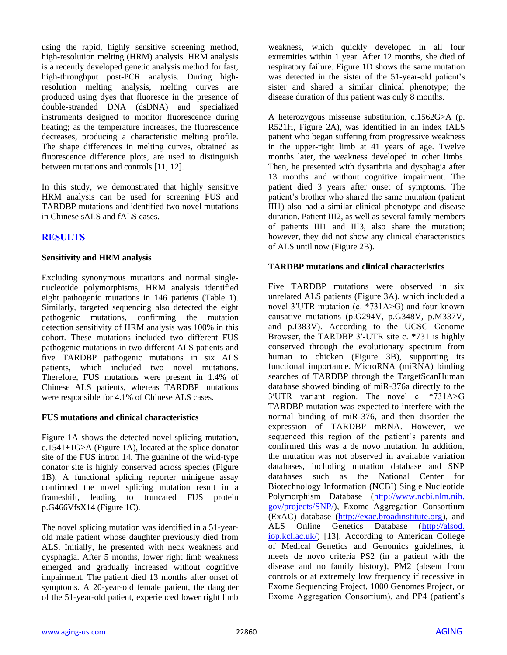using the rapid, highly sensitive screening method, high-resolution melting (HRM) analysis. HRM analysis is a recently developed genetic analysis method for fast, high-throughput post-PCR analysis. During highresolution melting analysis, melting curves are produced using dyes that fluoresce in the presence of double-stranded DNA (dsDNA) and specialized instruments designed to monitor fluorescence during heating; as the temperature increases, the fluorescence decreases, producing a characteristic melting profile. The shape differences in melting curves, obtained as fluorescence difference plots, are used to distinguish between mutations and controls [11, 12].

In this study, we demonstrated that highly sensitive HRM analysis can be used for screening FUS and TARDBP mutations and identified two novel mutations in Chinese sALS and fALS cases.

## **RESULTS**

#### **Sensitivity and HRM analysis**

Excluding synonymous mutations and normal singlenucleotide polymorphisms, HRM analysis identified eight pathogenic mutations in 146 patients (Table 1). Similarly, targeted sequencing also detected the eight pathogenic mutations, confirming the mutation detection sensitivity of HRM analysis was 100% in this cohort. These mutations included two different FUS pathogenic mutations in two different ALS patients and five TARDBP pathogenic mutations in six ALS patients, which included two novel mutations. Therefore, FUS mutations were present in 1.4% of Chinese ALS patients, whereas TARDBP mutations were responsible for 4.1% of Chinese ALS cases.

#### **FUS mutations and clinical characteristics**

Figure 1A shows the detected novel splicing mutation, c.1541+1G $\geq$ A (Figure 1A), located at the splice donator site of the FUS intron 14. The guanine of the wild-type donator site is highly conserved across species (Figure 1B). A functional splicing reporter minigene assay confirmed the novel splicing mutation result in a frameshift, leading to truncated FUS protein  $p.G466VfsX14$  (Figure 1C).

The novel splicing mutation was identified in a 51-yearold male patient whose daughter previously died from ALS. Initially, he presented with neck weakness and dysphagia. After 5 months, lower right limb weakness emerged and gradually increased without cognitive impairment. The patient died 13 months after onset of symptoms. A 20-year-old female patient, the daughter of the 51-year-old patient, experienced lower right limb

weakness, which quickly developed in all four extremities within 1 year. After 12 months, she died of respiratory failure. Figure 1D shows the same mutation was detected in the sister of the 51-year-old patient's sister and shared a similar clinical phenotype; the disease duration of this patient was only 8 months.

A heterozygous missense substitution, c.1562G>A (p. R521H, Figure 2A), was identified in an index fALS patient who began suffering from progressive weakness in the upper-right limb at 41 years of age. Twelve months later, the weakness developed in other limbs. Then, he presented with dysarthria and dysphagia after 13 months and without cognitive impairment. The patient died 3 years after onset of symptoms. The patient's brother who shared the same mutation (patient III1) also had a similar clinical phenotype and disease duration. Patient III2, as well as several family members of patients III1 and III3, also share the mutation; however, they did not show any clinical characteristics of ALS until now (Figure 2B).

#### **TARDBP mutations and clinical characteristics**

Five TARDBP mutations were observed in six unrelated ALS patients (Figure 3A), which included a novel 3′UTR mutation (c. \*731A>G) and four known causative mutations (p.G294V, p.G348V, p.M337V, and p.I383V). According to the UCSC Genome Browser, the TARDBP 3′-UTR site c. \*731 is highly conserved through the evolutionary spectrum from human to chicken (Figure 3B), supporting its functional importance. MicroRNA (miRNA) binding searches of TARDBP through the TargetScanHuman database showed binding of miR-376a directly to the 3′UTR variant region. The novel c. \*731A>G TARDBP mutation was expected to interfere with the normal binding of miR-376, and then disorder the expression of TARDBP mRNA. However, we sequenced this region of the patient's parents and confirmed this was a de novo mutation. In addition, the mutation was not observed in available variation databases, including mutation database and SNP databases such as the National Center for Biotechnology Information (NCBI) Single Nucleotide Polymorphism Database [\(http://www.ncbi.nlm.nih.](http://www.ncbi.nlm.nih.gov/projects/SNP/) [gov/projects/SNP/\)](http://www.ncbi.nlm.nih.gov/projects/SNP/), Exome Aggregation Consortium (ExAC) database [\(http://exac.broadinstitute.org\)](http://exac.broadinstitute.org/), and ALS Online Genetics Database [\(http://alsod.](http://alsod.iop.kcl.ac.uk/)  $\frac{\text{top.kcl.ac.uk}}{13}$ . According to American College of Medical Genetics and Genomics guidelines, it meets de novo criteria PS2 (in a patient with the disease and no family history), PM2 (absent from controls or at extremely low frequency if recessive in Exome Sequencing Project, 1000 Genomes Project, or Exome Aggregation Consortium), and PP4 (patient's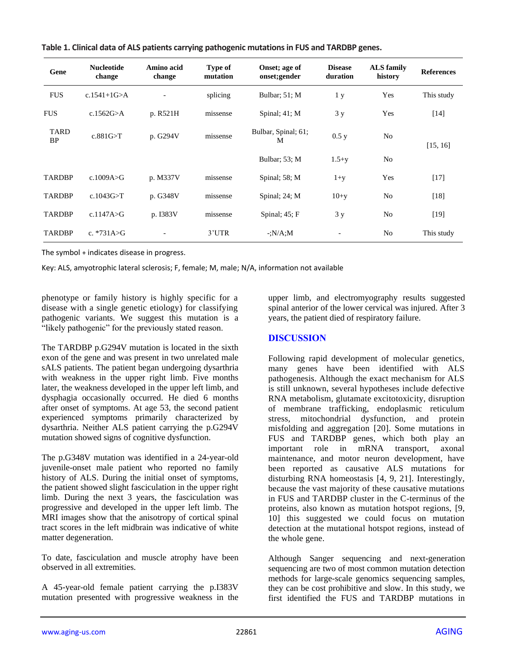| Gene                     | <b>Nucleotide</b><br>change | Amino acid<br>change | <b>Type of</b><br>mutation | Onset; age of<br>onset;gender | <b>Disease</b><br>duration | <b>ALS</b> family<br>history | <b>References</b>  |
|--------------------------|-----------------------------|----------------------|----------------------------|-------------------------------|----------------------------|------------------------------|--------------------|
| <b>FUS</b>               | c.1541+1G $>A$              |                      | splicing                   | Bulbar; 51; M                 | 1 y                        | Yes                          | This study         |
| <b>FUS</b>               | c.1562G>A                   | p. R521H             | missense                   | Spinal; $41$ ; M              | 3y                         | Yes                          | $\lceil 14 \rceil$ |
| <b>TARD</b><br><b>BP</b> | c.881G > T                  | p. G294V             | missense                   | Bulbar, Spinal; 61;<br>M      | 0.5 y                      | N <sub>o</sub>               | [15, 16]           |
|                          |                             |                      |                            | Bulbar; 53; M                 | $1.5 + y$                  | N <sub>o</sub>               |                    |
| <b>TARDBP</b>            | c.1009A $>$ G               | p. M337V             | missense                   | Spinal; 58; M                 | $1+y$                      | Yes                          | $[17]$             |
| <b>TARDBP</b>            | c.1043G $\geq$ T            | p. G348V             | missense                   | Spinal; $24$ ; M              | $10+y$                     | N <sub>o</sub>               | [18]               |
| <b>TARDBP</b>            | c.1147A $>$ G               | p. I383V             | missense                   | Spinal; $45; F$               | 3y                         | N <sub>o</sub>               | $[19]$             |
| <b>TARDBP</b>            | c. *731A $\geq$ G           |                      | 3'UTR                      | $-N/A$ :M                     |                            | N <sub>o</sub>               | This study         |

**Table 1. Clinical data of ALS patients carrying pathogenic mutations in FUS and TARDBP genes.**

The symbol + indicates disease in progress.

Key: ALS, amyotrophic lateral sclerosis; F, female; M, male; N/A, information not available

phenotype or family history is highly specific for a disease with a single genetic etiology) for classifying pathogenic variants. We suggest this mutation is a "likely pathogenic" for the previously stated reason.

The TARDBP p.G294V mutation is located in the sixth exon of the gene and was present in two unrelated male sALS patients. The patient began undergoing dysarthria with weakness in the upper right limb. Five months later, the weakness developed in the upper left limb, and dysphagia occasionally occurred. He died 6 months after onset of symptoms. At age 53, the second patient experienced symptoms primarily characterized by dysarthria. Neither ALS patient carrying the p.G294V mutation showed signs of cognitive dysfunction.

The p.G348V mutation was identified in a 24-year-old juvenile-onset male patient who reported no family history of ALS. During the initial onset of symptoms, the patient showed slight fasciculation in the upper right limb. During the next 3 years, the fasciculation was progressive and developed in the upper left limb. The MRI images show that the anisotropy of cortical spinal tract scores in the left midbrain was indicative of white matter degeneration.

To date, fasciculation and muscle atrophy have been observed in all extremities.

A 45-year-old female patient carrying the p.I383V mutation presented with progressive weakness in the upper limb, and electromyography results suggested spinal anterior of the lower cervical was injured. After 3 years, the patient died of respiratory failure.

## **DISCUSSION**

Following rapid development of molecular genetics, many genes have been identified with ALS pathogenesis. Although the exact mechanism for ALS is still unknown, several hypotheses include defective RNA metabolism, glutamate excitotoxicity, disruption of membrane trafficking, endoplasmic reticulum stress, mitochondrial dysfunction, and protein misfolding and aggregation [20]. Some mutations in FUS and TARDBP genes, which both play an important role in mRNA transport, axonal maintenance, and motor neuron development, have been reported as causative ALS mutations for disturbing RNA homeostasis [4, 9, 21]. Interestingly, because the vast majority of these causative mutations in FUS and TARDBP cluster in the C-terminus of the proteins, also known as mutation hotspot regions, [9, 10] this suggested we could focus on mutation detection at the mutational hotspot regions, instead of the whole gene.

Although Sanger sequencing and next-generation sequencing are two of most common mutation detection methods for large-scale genomics sequencing samples, they can be cost prohibitive and slow. In this study, we first identified the FUS and TARDBP mutations in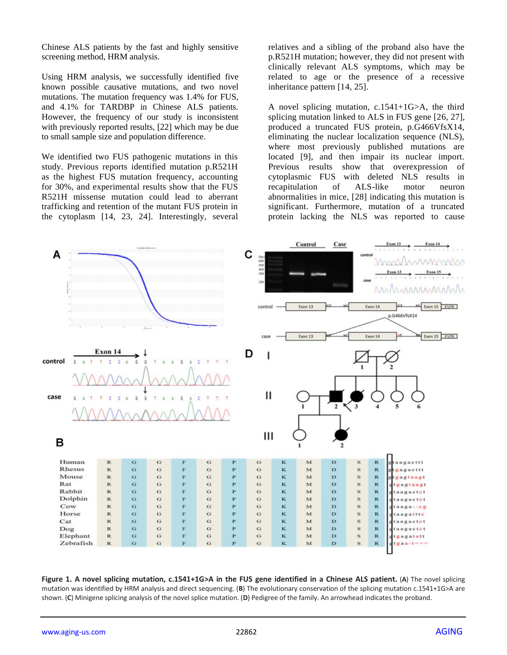Chinese ALS patients by the fast and highly sensitive screening method, HRM analysis.

Using HRM analysis, we successfully identified five known possible causative mutations, and two novel mutations. The mutation frequency was 1.4% for FUS, and 4.1% for TARDBP in Chinese ALS patients. However, the frequency of our study is inconsistent with previously reported results, [22] which may be due to small sample size and population difference.

We identified two FUS pathogenic mutations in this study. Previous reports identified mutation p.R521H as the highest FUS mutation frequency, accounting for 30%, and experimental results show that the FUS R521H missense mutation could lead to aberrant trafficking and retention of the mutant FUS protein in the cytoplasm [14, 23, 24]. Interestingly, several relatives and a sibling of the proband also have the p.R521H mutation; however, they did not present with clinically relevant ALS symptoms, which may be related to age or the presence of a recessive inheritance pattern [14, 25].

A novel splicing mutation, c.1541+1G>A, the third splicing mutation linked to ALS in FUS gene [26, 27], produced a truncated FUS protein, p.G466VfsX14, eliminating the nuclear localization sequence (NLS), where most previously published mutations are located [9], and then impair its nuclear import. Previous results show that overexpression of cytoplasmic FUS with deleted NLS results in recapitulation of ALS-like motor neuron abnormalities in mice, [28] indicating this mutation is significant. Furthermore, mutation of a truncated protein lacking the NLS was reported to cause



**Figure 1. A novel splicing mutation, c.1541+1G>A in the FUS gene identified in a Chinese ALS patient.** (**A**) The novel splicing mutation was identified by HRM analysis and direct sequencing. (**B**) The evolutionary conservation of the splicing mutation c.1541+1G>A are shown. (**C**) Minigene splicing analysis of the novel splice mutation. (**D**) Pedigree of the family. An arrowhead indicates the proband.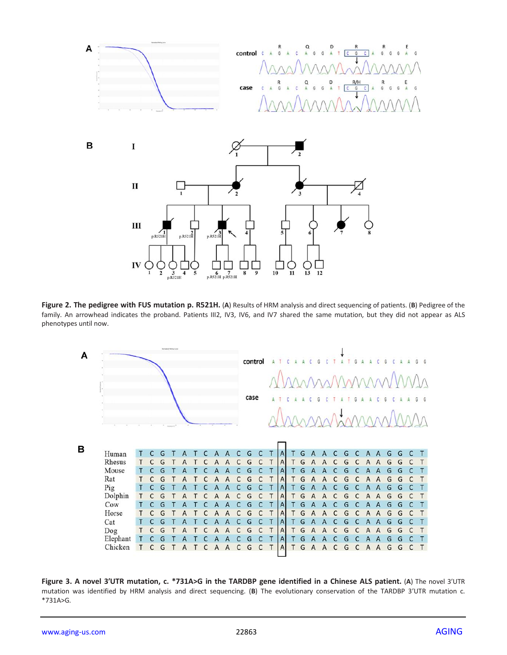

**Figure 2. The pedigree with FUS mutation p. R521H.** (**A**) Results of HRM analysis and direct sequencing of patients. (**B**) Pedigree of the family. An arrowhead indicates the proband. Patients III2, IV3, IV6, and IV7 shared the same mutation, but they did not appear as ALS phenotypes until now.



**Figure 3. A novel 3′UTR mutation, c. \*731A>G in the TARDBP gene identified in a Chinese ALS patient.** (**A**) The novel 3′UTR mutation was identified by HRM analysis and direct sequencing. (**B**) The evolutionary conservation of the TARDBP 3′UTR mutation c. \*731A>G.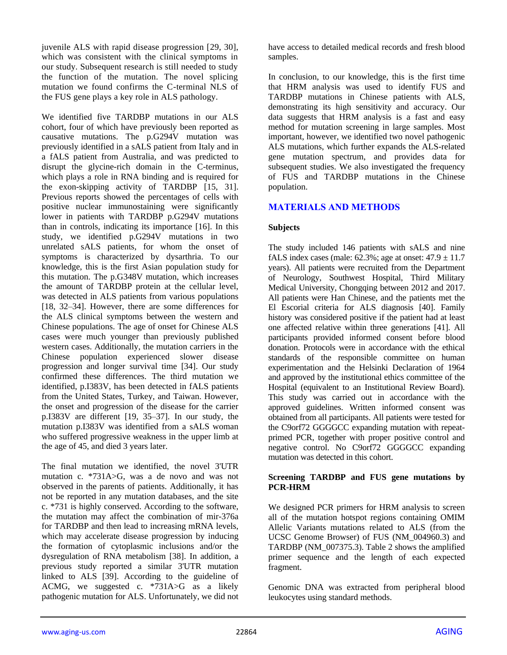juvenile ALS with rapid disease progression [29, 30], which was consistent with the clinical symptoms in our study. Subsequent research is still needed to study the function of the mutation. The novel splicing mutation we found confirms the C-terminal NLS of the FUS gene plays a key role in ALS pathology.

We identified five TARDBP mutations in our ALS cohort, four of which have previously been reported as causative mutations. The p.G294V mutation was previously identified in a sALS patient from Italy and in a fALS patient from Australia, and was predicted to disrupt the glycine-rich domain in the C-terminus, which plays a role in RNA binding and is required for the exon-skipping activity of TARDBP [15, 31]. Previous reports showed the percentages of cells with positive nuclear immunostaining were significantly lower in patients with TARDBP p.G294V mutations than in controls, indicating its importance [16]. In this study, we identified p.G294V mutations in two unrelated sALS patients, for whom the onset of symptoms is characterized by dysarthria. To our knowledge, this is the first Asian population study for this mutation. The p.G348V mutation, which increases the amount of TARDBP protein at the cellular level, was detected in ALS patients from various populations [18, 32–34]. However, there are some differences for the ALS clinical symptoms between the western and Chinese populations. The age of onset for Chinese ALS cases were much younger than previously published western cases. Additionally, the mutation carriers in the Chinese population experienced slower disease progression and longer survival time [34]. Our study confirmed these differences. The third mutation we identified, p.I383V, has been detected in fALS patients from the United States, Turkey, and Taiwan. However, the onset and progression of the disease for the carrier p.I383V are different [19, 35–37]. In our study, the mutation p.I383V was identified from a sALS woman who suffered progressive weakness in the upper limb at the age of 45, and died 3 years later.

The final mutation we identified, the novel 3'UTR mutation c. \*731A>G, was a de novo and was not observed in the parents of patients. Additionally, it has not be reported in any mutation databases, and the site c. \*731 is highly conserved. According to the software, the mutation may affect the combination of mir-376a for TARDBP and then lead to increasing mRNA levels, which may accelerate disease progression by inducing the formation of cytoplasmic inclusions and/or the dysregulation of RNA metabolism [38]. In addition, a previous study reported a similar 3'UTR mutation linked to ALS [39]. According to the guideline of ACMG, we suggested c. \*731A>G as a likely pathogenic mutation for ALS. Unfortunately, we did not

have access to detailed medical records and fresh blood samples.

In conclusion, to our knowledge, this is the first time that HRM analysis was used to identify FUS and TARDBP mutations in Chinese patients with ALS, demonstrating its high sensitivity and accuracy. Our data suggests that HRM analysis is a fast and easy method for mutation screening in large samples. Most important, however, we identified two novel pathogenic ALS mutations, which further expands the ALS-related gene mutation spectrum, and provides data for subsequent studies. We also investigated the frequency of FUS and TARDBP mutations in the Chinese population.

## **MATERIALS AND METHODS**

#### **Subjects**

The study included 146 patients with sALS and nine fALS index cases (male:  $62.3\%$ ; age at onset:  $47.9 \pm 11.7$ years). All patients were recruited from the Department of Neurology, Southwest Hospital, Third Military Medical University, Chongqing between 2012 and 2017. All patients were Han Chinese, and the patients met the El Escorial criteria for ALS diagnosis [40]. Family history was considered positive if the patient had at least one affected relative within three generations [41]. All participants provided informed consent before blood donation. Protocols were in accordance with the ethical standards of the responsible committee on human experimentation and the Helsinki Declaration of 1964 and approved by the institutional ethics committee of the Hospital (equivalent to an Institutional Review Board). This study was carried out in accordance with the approved guidelines. Written informed consent was obtained from all participants. All patients were tested for the C9orf72 GGGGCC expanding mutation with repeatprimed PCR, together with proper positive control and negative control. No C9orf72 GGGGCC expanding mutation was detected in this cohort.

#### **Screening TARDBP and FUS gene mutations by PCR-HRM**

We designed PCR primers for HRM analysis to screen all of the mutation hotspot regions containing OMIM Allelic Variants mutations related to ALS (from the UCSC Genome Browser) of FUS (NM\_004960.3) and TARDBP (NM\_007375.3). Table 2 shows the amplified primer sequence and the length of each expected fragment.

Genomic DNA was extracted from peripheral blood leukocytes using standard methods.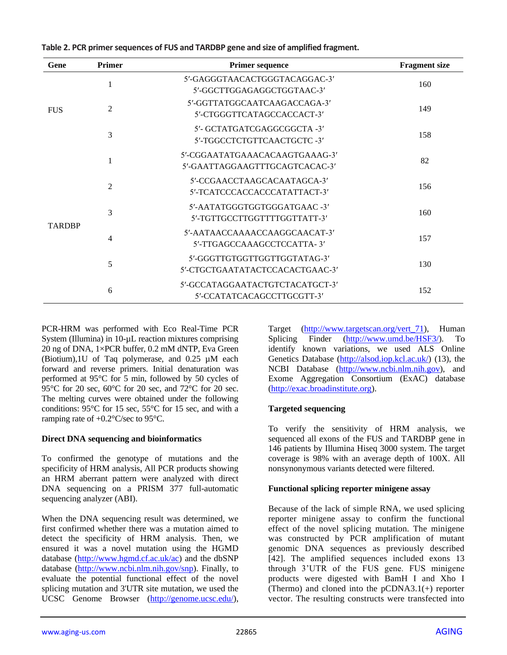| Gene          | Primer         | <b>Primer sequence</b>                                           | <b>Fragment</b> size |
|---------------|----------------|------------------------------------------------------------------|----------------------|
| <b>FUS</b>    | 1              | 5'-GAGGGTAACACTGGGTACAGGAC-3'<br>5'-GGCTTGGAGAGGCTGGTAAC-3'      | 160                  |
|               | 2              | 5'-GGTTATGGCAATCAAGACCAGA-3'<br>5'-CTGGGTTCATAGCCACCACT-3'       | 149                  |
|               | 3              | 5'- GCTATGATCGAGGCGGCTA -3'<br>5'-TGGCCTCTGTTCAACTGCTC-3'        | 158                  |
|               |                | 5'-CGGAATATGAAACACAAGTGAAAG-3'<br>5'-GAATTAGGAAGTTTGCAGTCACAC-3' | 82                   |
|               | $\overline{2}$ | 5'-CCGAACCTAAGCACAATAGCA-3'<br>5'-TCATCCCACCACCCATATTACT-3'      | 156                  |
|               | 3              | 5'-AATATGGGTGGTGGGATGAAC-3'<br>5'-TGTTGCCTTGGTTTTGGTTATT-3'      | 160                  |
| <b>TARDBP</b> | 4              | 5'-AATAACCAAAACCAAGGCAACAT-3'<br>5'-TTGAGCCAAAGCCTCCATTA-3'      | 157                  |
|               | 5              | 5'-GGGTTGTGGTTGGTTGGTATAG-3'<br>5'-CTGCTGAATATACTCCACACTGAAC-3'  | 130                  |
|               | 6              | 5'-GCCATAGGAATACTGTCTACATGCT-3'<br>5'-CCATATCACAGCCTTGCGTT-3'    | 152                  |

**Table 2. PCR primer sequences of FUS and TARDBP gene and size of amplified fragment.**

PCR-HRM was performed with Eco Real-Time PCR System (Illumina) in 10-µL reaction mixtures comprising 20 ng of DNA, 1×PCR buffer, 0.2 mM dNTP, Eva Green (Biotium),1U of Taq polymerase, and 0.25 µM each forward and reverse primers. Initial denaturation was performed at 95°C for 5 min, followed by 50 cycles of 95°C for 20 sec, 60°C for 20 sec, and 72°C for 20 sec. The melting curves were obtained under the following conditions: 95°C for 15 sec, 55°C for 15 sec, and with a ramping rate of +0.2°C/sec to 95°C.

#### **Direct DNA sequencing and bioinformatics**

To confirmed the genotype of mutations and the specificity of HRM analysis, All PCR products showing an HRM aberrant pattern were analyzed with direct DNA sequencing on a PRISM 377 full-automatic sequencing analyzer (ABI).

When the DNA sequencing result was determined, we first confirmed whether there was a mutation aimed to detect the specificity of HRM analysis. Then, we ensured it was a novel mutation using the HGMD database [\(http://www.hgmd.cf.ac.uk/ac\)](http://www.hgmd.cf.ac.uk/ac) and the dbSNP database [\(http://www.ncbi.nlm.nih.gov/snp\)](http://www.ncbi.nlm.nih.gov/snp). Finally, to evaluate the potential functional effect of the novel splicing mutation and 3'UTR site mutation, we used the UCSC Genome Browser [\(http://genome.ucsc.edu/\)](http://genome.ucsc.edu/),

Target [\(http://www.targetscan.org/vert\\_71\)](http://www.targetscan.org/vert_71), Human Splicing Finder [\(http://www.umd.be/HSF3/\)](http://www.umd.be/HSF3/). To identify known variations, we used ALS Online Genetics Database [\(http://alsod.iop.kcl.ac.uk/\)](http://alsod.iop.kcl.ac.uk/) (13), the NCBI Database [\(http://www.ncbi.nlm.nih.gov\)](http://www.ncbi.nlm.nih.gov/), and Exome Aggregation Consortium (ExAC) database [\(http://exac.broadinstitute.org\)](http://exac.broadinstitute.org/).

#### **Targeted sequencing**

To verify the sensitivity of HRM analysis, we sequenced all exons of the FUS and TARDBP gene in 146 patients by Illumina Hiseq 3000 system. The target coverage is 98% with an average depth of 100X. All nonsynonymous variants detected were filtered.

#### **Functional splicing reporter minigene assay**

Because of the lack of simple RNA, we used splicing reporter minigene assay to confirm the functional effect of the novel splicing mutation. The minigene was constructed by PCR amplification of mutant genomic DNA sequences as previously described [42]. The amplified sequences included exons 13 through 3'UTR of the FUS gene. FUS minigene products were digested with BamH I and Xho I (Thermo) and cloned into the pCDNA3.1(+) reporter vector. The resulting constructs were transfected into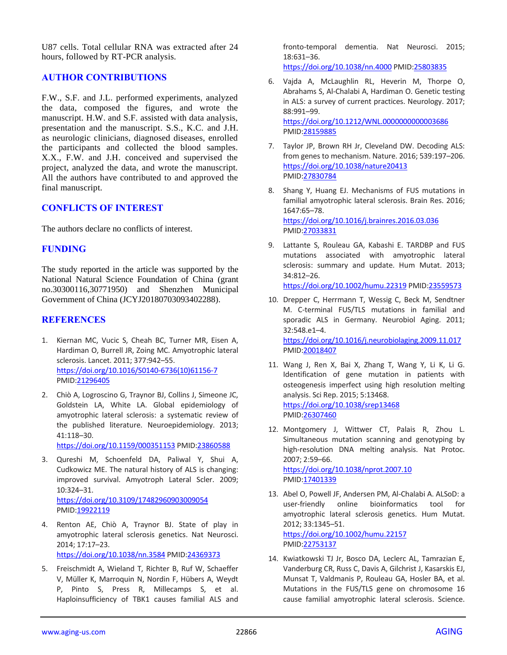U87 cells. Total cellular RNA was extracted after 24 hours, followed by RT-PCR analysis.

## **AUTHOR CONTRIBUTIONS**

F.W., S.F. and J.L. performed experiments, analyzed the data, composed the figures, and wrote the manuscript. H.W. and S.F. assisted with data analysis, presentation and the manuscript. S.S., K.C. and J.H. as neurologic clinicians, diagnosed diseases, enrolled the participants and collected the blood samples. X.X., F.W. and J.H. conceived and supervised the project, analyzed the data, and wrote the manuscript. All the authors have contributed to and approved the final manuscript.

## **CONFLICTS OF INTEREST**

The authors declare no conflicts of interest.

## **FUNDING**

The study reported in the article was supported by the National Natural Science Foundation of China (grant no.30300116,30771950) and Shenzhen Municipal Government of China (JCYJ20180703093402288).

#### **REFERENCES**

- 1. Kiernan MC, Vucic S, Cheah BC, Turner MR, Eisen A, Hardiman O, Burrell JR, Zoing MC. Amyotrophic lateral sclerosis. Lancet. 2011; 377:942–55. [https://doi.org/10.1016/S0140-6736\(10\)61156-7](https://doi.org/10.1016/S0140-6736(10)61156-7) PMID[:21296405](https://pubmed.ncbi.nlm.nih.gov/21296405)
- 2. Chiò A, Logroscino G, Traynor BJ, Collins J, Simeone JC, Goldstein LA, White LA. Global epidemiology of amyotrophic lateral sclerosis: a systematic review of the published literature. Neuroepidemiology. 2013; 41:118–30. <https://doi.org/10.1159/000351153> PMID[:23860588](https://pubmed.ncbi.nlm.nih.gov/23860588)
- 3. Qureshi M, Schoenfeld DA, Paliwal Y, Shui A, Cudkowicz ME. The natural history of ALS is changing: improved survival. Amyotroph Lateral Scler. 2009; 10:324–31. <https://doi.org/10.3109/17482960903009054> PMID[:19922119](https://pubmed.ncbi.nlm.nih.gov/19922119)
- 4. Renton AE, Chiò A, Traynor BJ. State of play in amyotrophic lateral sclerosis genetics. Nat Neurosci. 2014; 17:17–23. <https://doi.org/10.1038/nn.3584> PMID[:24369373](https://pubmed.ncbi.nlm.nih.gov/24369373)
- 5. Freischmidt A, Wieland T, Richter B, Ruf W, Schaeffer V, Müller K, Marroquin N, Nordin F, Hübers A, Weydt P, Pinto S, Press R, Millecamps S, et al. Haploinsufficiency of TBK1 causes familial ALS and

fronto-temporal dementia. Nat Neurosci. 2015; 18:631–36.

<https://doi.org/10.1038/nn.4000> PMID[:25803835](https://pubmed.ncbi.nlm.nih.gov/25803835)

- 6. Vajda A, McLaughlin RL, Heverin M, Thorpe O, Abrahams S, Al-Chalabi A, Hardiman O. Genetic testing in ALS: a survey of current practices. Neurology. 2017; 88:991–99. <https://doi.org/10.1212/WNL.0000000000003686> PMI[D:28159885](https://pubmed.ncbi.nlm.nih.gov/28159885)
- 7. Taylor JP, Brown RH Jr, Cleveland DW. Decoding ALS: from genes to mechanism. Nature. 2016; 539:197–206. <https://doi.org/10.1038/nature20413> PMI[D:27830784](https://pubmed.ncbi.nlm.nih.gov/27830784)
- 8. Shang Y, Huang EJ. Mechanisms of FUS mutations in familial amyotrophic lateral sclerosis. Brain Res. 2016; 1647:65–78. <https://doi.org/10.1016/j.brainres.2016.03.036> PMI[D:27033831](https://pubmed.ncbi.nlm.nih.gov/27033831)
- 9. Lattante S, Rouleau GA, Kabashi E. TARDBP and FUS mutations associated with amyotrophic lateral sclerosis: summary and update. Hum Mutat. 2013; 34:812–26. <https://doi.org/10.1002/humu.22319> PMID[:23559573](https://pubmed.ncbi.nlm.nih.gov/23559573)
- 10. Drepper C, Herrmann T, Wessig C, Beck M, Sendtner M. C-terminal FUS/TLS mutations in familial and sporadic ALS in Germany. Neurobiol Aging. 2011; 32:548.e1–4. <https://doi.org/10.1016/j.neurobiolaging.2009.11.017> PMI[D:20018407](https://pubmed.ncbi.nlm.nih.gov/20018407)
- 11. Wang J, Ren X, Bai X, Zhang T, Wang Y, Li K, Li G. Identification of gene mutation in patients with osteogenesis imperfect using high resolution melting analysis. Sci Rep. 2015; 5:13468. <https://doi.org/10.1038/srep13468> PMI[D:26307460](https://pubmed.ncbi.nlm.nih.gov/26307460)
- 12. Montgomery J, Wittwer CT, Palais R, Zhou L. Simultaneous mutation scanning and genotyping by high-resolution DNA melting analysis. Nat Protoc. 2007; 2:59–66.

<https://doi.org/10.1038/nprot.2007.10> PMI[D:17401339](https://pubmed.ncbi.nlm.nih.gov/17401339)

- 13. Abel O, Powell JF, Andersen PM, Al-Chalabi A. ALSoD: a user-friendly online bioinformatics tool for amyotrophic lateral sclerosis genetics. Hum Mutat. 2012; 33:1345–51. <https://doi.org/10.1002/humu.22157> PMI[D:22753137](https://pubmed.ncbi.nlm.nih.gov/22753137)
- 14. Kwiatkowski TJ Jr, Bosco DA, Leclerc AL, Tamrazian E, Vanderburg CR, Russ C, Davis A, Gilchrist J, Kasarskis EJ, Munsat T, Valdmanis P, Rouleau GA, Hosler BA, et al. Mutations in the FUS/TLS gene on chromosome 16 cause familial amyotrophic lateral sclerosis. Science.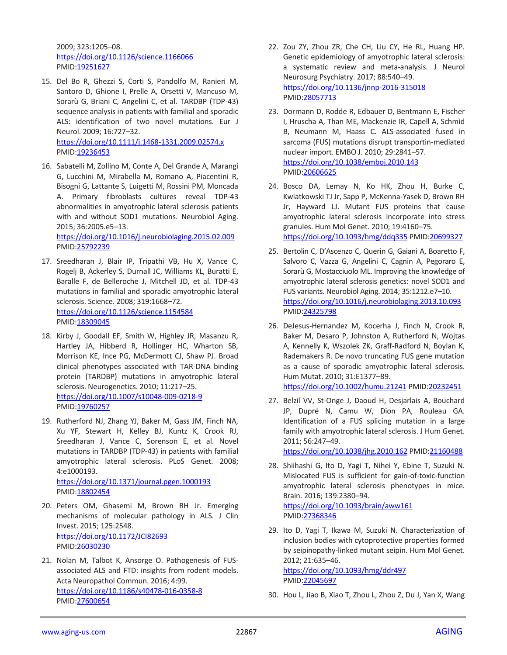2009; 323:1205–08. <https://doi.org/10.1126/science.1166066> PMID[:19251627](https://pubmed.ncbi.nlm.nih.gov/19251627)

- 15. Del Bo R, Ghezzi S, Corti S, Pandolfo M, Ranieri M, Santoro D, Ghione I, Prelle A, Orsetti V, Mancuso M, Sorarù G, Briani C, Angelini C, et al. TARDBP (TDP-43) sequence analysis in patients with familial and sporadic ALS: identification of two novel mutations. Eur J Neurol. 2009; 16:727–32. <https://doi.org/10.1111/j.1468-1331.2009.02574.x> PMID[:19236453](https://pubmed.ncbi.nlm.nih.gov/19236453)
- 16. Sabatelli M, Zollino M, Conte A, Del Grande A, Marangi G, Lucchini M, Mirabella M, Romano A, Piacentini R, Bisogni G, Lattante S, Luigetti M, Rossini PM, Moncada A. Primary fibroblasts cultures reveal TDP-43 abnormalities in amyotrophic lateral sclerosis patients with and without SOD1 mutations. Neurobiol Aging. 2015; 36:2005.e5–13. <https://doi.org/10.1016/j.neurobiolaging.2015.02.009>

PMID[:25792239](https://pubmed.ncbi.nlm.nih.gov/25792239)

- 17. Sreedharan J, Blair IP, Tripathi VB, Hu X, Vance C, Rogelj B, Ackerley S, Durnall JC, Williams KL, Buratti E, Baralle F, de Belleroche J, Mitchell JD, et al. TDP-43 mutations in familial and sporadic amyotrophic lateral sclerosis. Science. 2008; 319:1668–72. <https://doi.org/10.1126/science.1154584> PMID[:18309045](https://pubmed.ncbi.nlm.nih.gov/18309045)
- 18. Kirby J, Goodall EF, Smith W, Highley JR, Masanzu R, Hartley JA, Hibberd R, Hollinger HC, Wharton SB, Morrison KE, Ince PG, McDermott CJ, Shaw PJ. Broad clinical phenotypes associated with TAR-DNA binding protein (TARDBP) mutations in amyotrophic lateral sclerosis. Neurogenetics. 2010; 11:217–25. <https://doi.org/10.1007/s10048-009-0218-9> PMID[:19760257](https://pubmed.ncbi.nlm.nih.gov/19760257)
- 19. Rutherford NJ, Zhang YJ, Baker M, Gass JM, Finch NA, Xu YF, Stewart H, Kelley BJ, Kuntz K, Crook RJ, Sreedharan J, Vance C, Sorenson E, et al. Novel mutations in TARDBP (TDP-43) in patients with familial amyotrophic lateral sclerosis. PLoS Genet. 2008; 4:e1000193.

<https://doi.org/10.1371/journal.pgen.1000193> PMID[:18802454](https://pubmed.ncbi.nlm.nih.gov/18802454)

- 20. Peters OM, Ghasemi M, Brown RH Jr. Emerging mechanisms of molecular pathology in ALS. J Clin Invest. 2015; 125:2548. <https://doi.org/10.1172/JCI82693> PMID[:26030230](https://pubmed.ncbi.nlm.nih.gov/26030230)
- 21. Nolan M, Talbot K, Ansorge O. Pathogenesis of FUSassociated ALS and FTD: insights from rodent models. Acta Neuropathol Commun. 2016; 4:99. <https://doi.org/10.1186/s40478-016-0358-8> PMID[:27600654](https://pubmed.ncbi.nlm.nih.gov/27600654)
- 22. Zou ZY, Zhou ZR, Che CH, Liu CY, He RL, Huang HP. Genetic epidemiology of amyotrophic lateral sclerosis: a systematic review and meta-analysis. J Neurol Neurosurg Psychiatry. 2017; 88:540–49. <https://doi.org/10.1136/jnnp-2016-315018> PMI[D:28057713](https://pubmed.ncbi.nlm.nih.gov/28057713)
- 23. Dormann D, Rodde R, Edbauer D, Bentmann E, Fischer I, Hruscha A, Than ME, Mackenzie IR, Capell A, Schmid B, Neumann M, Haass C. ALS-associated fused in sarcoma (FUS) mutations disrupt transportin-mediated nuclear import. EMBO J. 2010; 29:2841–57. <https://doi.org/10.1038/emboj.2010.143> PMI[D:20606625](https://pubmed.ncbi.nlm.nih.gov/20606625)
- 24. Bosco DA, Lemay N, Ko HK, Zhou H, Burke C, Kwiatkowski TJ Jr, Sapp P, McKenna-Yasek D, Brown RH Jr, Hayward LJ. Mutant FUS proteins that cause amyotrophic lateral sclerosis incorporate into stress granules. Hum Mol Genet. 2010; 19:4160–75. <https://doi.org/10.1093/hmg/ddq335> PMID[:20699327](https://pubmed.ncbi.nlm.nih.gov/20699327)
- 25. Bertolin C, D'Ascenzo C, Querin G, Gaiani A, Boaretto F, Salvoro C, Vazza G, Angelini C, Cagnin A, Pegoraro E, Sorarù G, Mostacciuolo ML. Improving the knowledge of amyotrophic lateral sclerosis genetics: novel SOD1 and FUS variants. Neurobiol Aging. 2014; 35:1212.e7–10. <https://doi.org/10.1016/j.neurobiolaging.2013.10.093> PMI[D:24325798](https://pubmed.ncbi.nlm.nih.gov/24325798)
- 26. DeJesus-Hernandez M, Kocerha J, Finch N, Crook R, Baker M, Desaro P, Johnston A, Rutherford N, Wojtas A, Kennelly K, Wszolek ZK, Graff-Radford N, Boylan K, Rademakers R. De novo truncating FUS gene mutation as a cause of sporadic amyotrophic lateral sclerosis. Hum Mutat. 2010; 31:E1377–89. <https://doi.org/10.1002/humu.21241> PMID[:20232451](https://pubmed.ncbi.nlm.nih.gov/20232451)
- 27. Belzil VV, St-Onge J, Daoud H, Desjarlais A, Bouchard JP, Dupré N, Camu W, Dion PA, Rouleau GA. Identification of a FUS splicing mutation in a large family with amyotrophic lateral sclerosis. J Hum Genet. 2011; 56:247–49.

<https://doi.org/10.1038/jhg.2010.162> PMID[:21160488](https://pubmed.ncbi.nlm.nih.gov/21160488)

- 28. Shiihashi G, Ito D, Yagi T, Nihei Y, Ebine T, Suzuki N. Mislocated FUS is sufficient for gain-of-toxic-function amyotrophic lateral sclerosis phenotypes in mice. Brain. 2016; 139:2380–94. <https://doi.org/10.1093/brain/aww161> PMI[D:27368346](https://pubmed.ncbi.nlm.nih.gov/27368346)
- 29. Ito D, Yagi T, Ikawa M, Suzuki N. Characterization of inclusion bodies with cytoprotective properties formed by seipinopathy-linked mutant seipin. Hum Mol Genet. 2012; 21:635–46. <https://doi.org/10.1093/hmg/ddr497>

PMI[D:22045697](https://pubmed.ncbi.nlm.nih.gov/22045697)

30. Hou L, Jiao B, Xiao T, Zhou L, Zhou Z, Du J, Yan X, Wang